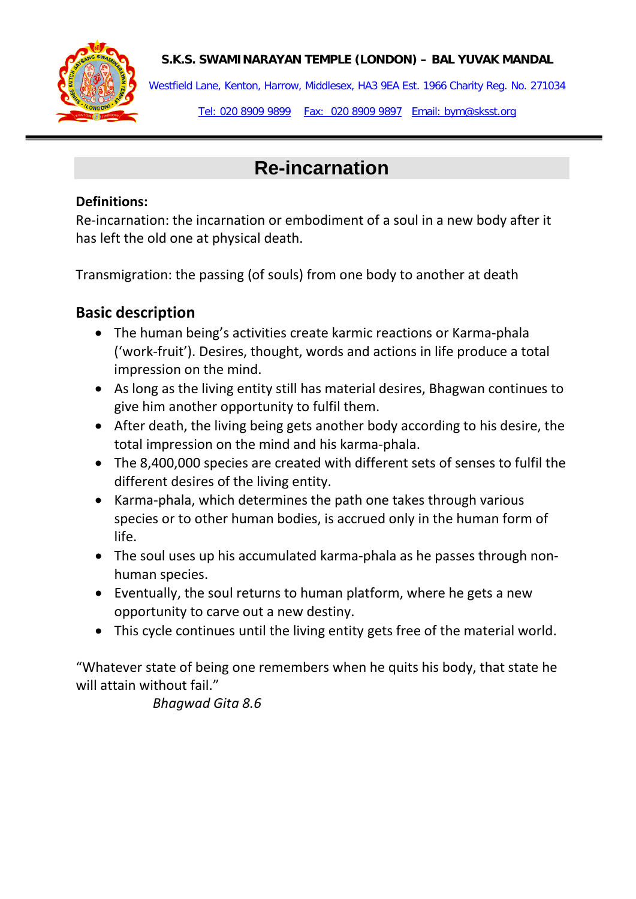#### **S.K.S. SWAMINARAYAN TEMPLE (LONDON) – BAL YUVAK MANDAL**



Westfield Lane, Kenton, Harrow, Middlesex, HA3 9EA Est. 1966 Charity Reg. No. 271034

Tel: 020 8909 9899 Fax: 020 8909 9897 Email: bym@sksst.org

# **Re-incarnation**

#### **Definitions:**

Re-incarnation: the incarnation or embodiment of a soul in a new body after it has left the old one at physical death.

Transmigration: the passing (of souls) from one body to another at death

## **Basic description**

- The human being's activities create karmic reactions or Karma-phala ('work-fruit'). Desires, thought, words and actions in life produce a total impression on the mind.
- As long as the living entity still has material desires, Bhagwan continues to give him another opportunity to fulfil them.
- After death, the living being gets another body according to his desire, the total impression on the mind and his karma-phala.
- The 8,400,000 species are created with different sets of senses to fulfil the different desires of the living entity.
- Karma-phala, which determines the path one takes through various species or to other human bodies, is accrued only in the human form of life.
- The soul uses up his accumulated karma-phala as he passes through nonhuman species.
- Eventually, the soul returns to human platform, where he gets a new opportunity to carve out a new destiny.
- This cycle continues until the living entity gets free of the material world.

"Whatever state of being one remembers when he quits his body, that state he will attain without fail."

*Bhagwad Gita 8.6*